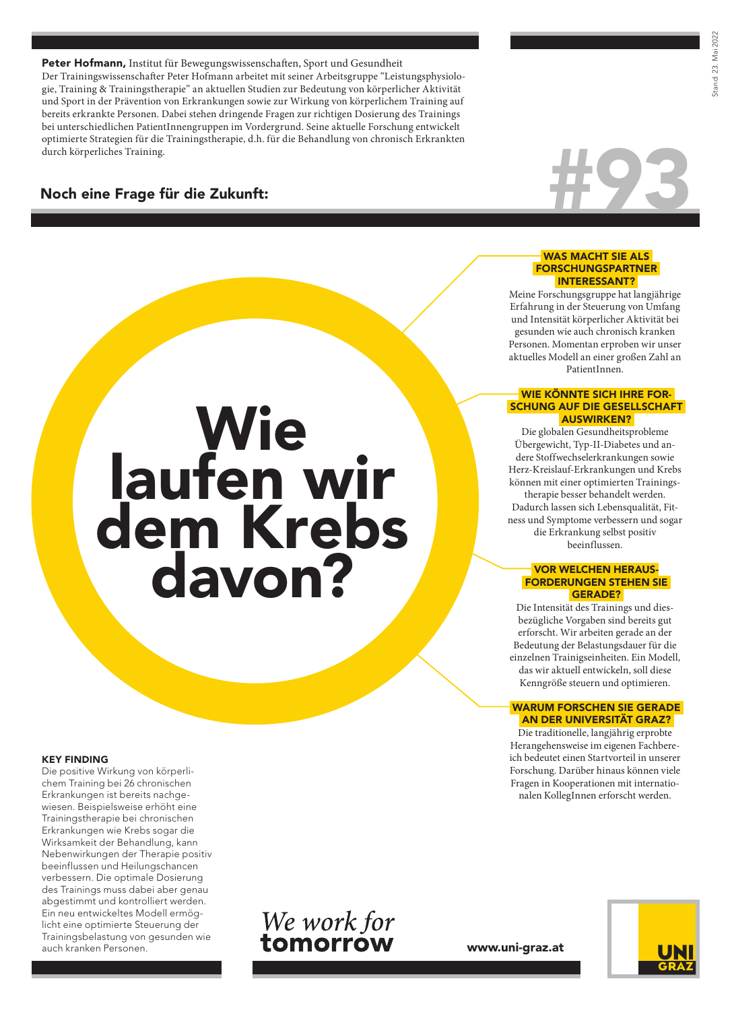Peter Hofmann, Institut für Bewegungswissenschaften, Sport und Gesundheit Der Trainingswissenschafter Peter Hofmann arbeitet mit seiner Arbeitsgruppe "Leistungsphysiologie, Training & Trainingstherapie" an aktuellen Studien zur Bedeutung von körperlicher Aktivität und Sport in der Prävention von Erkrankungen sowie zur Wirkung von körperlichem Training auf bereits erkrankte Personen. Dabei stehen dringende Fragen zur richtigen Dosierung des Trainings bei unterschiedlichen PatientInnengruppen im Vordergrund. Seine aktuelle Forschung entwickelt optimierte Strategien für die Trainingstherapie, d.h. für die Behandlung von chronisch Erkrankten

**Wie** 

laufen wir

dem Krebs

davon?

# Noch eine Frage für die Zukunft:



#### WAS MACHT SIE ALS FORSCHUNGSPARTNER INTERESSANT?

Meine Forschungsgruppe hat langjährige Erfahrung in der Steuerung von Umfang und Intensität körperlicher Aktivität bei gesunden wie auch chronisch kranken Personen. Momentan erproben wir unser aktuelles Modell an einer großen Zahl an PatientInnen.

#### WIE KÖNNTE SICH IHRE FOR- SCHUNG AUF DIE GESELLSCHAFT AUSWIRKEN?

Die globalen Gesundheitsprobleme Übergewicht, Typ-II-Diabetes und andere Stoffwechselerkrankungen sowie Herz-Kreislauf-Erkrankungen und Krebs können mit einer optimierten Trainingstherapie besser behandelt werden. Dadurch lassen sich Lebensqualität, Fitness und Symptome verbessern und sogar die Erkrankung selbst positiv beeinflussen.

#### VOR WELCHEN HERAUS- FORDERUNGEN STEHEN SIE GERADE?

Die Intensität des Trainings und diesbezügliche Vorgaben sind bereits gut erforscht. Wir arbeiten gerade an der Bedeutung der Belastungsdauer für die einzelnen Trainigseinheiten. Ein Modell, das wir aktuell entwickeln, soll diese Kenngröße steuern und optimieren.

## WARUM FORSCHEN SIE GERADE AN DER UNIVERSITÄT GRAZ?

Die traditionelle, langjährig erprobte Herangehensweise im eigenen Fachbereich bedeutet einen Startvorteil in unserer Forschung. Darüber hinaus können viele Fragen in Kooperationen mit internationalen KollegInnen erforscht werden.

# KEY FINDING

Die positive Wirkung von körperlichem Training bei 26 chronischen Erkrankungen ist bereits nachgewiesen. Beispielsweise erhöht eine Trainingstherapie bei chronischen Erkrankungen wie Krebs sogar die Wirksamkeit der Behandlung, kann Nebenwirkungen der Therapie positiv beeinflussen und Heilungschancen verbessern. Die optimale Dosierung des Trainings muss dabei aber genau abgestimmt und kontrolliert werden. Ein neu entwickeltes Modell ermöglicht eine optimierte Steuerung der Trainingsbelastung von gesunden wie auch kranken Personen.



www.uni-graz.at